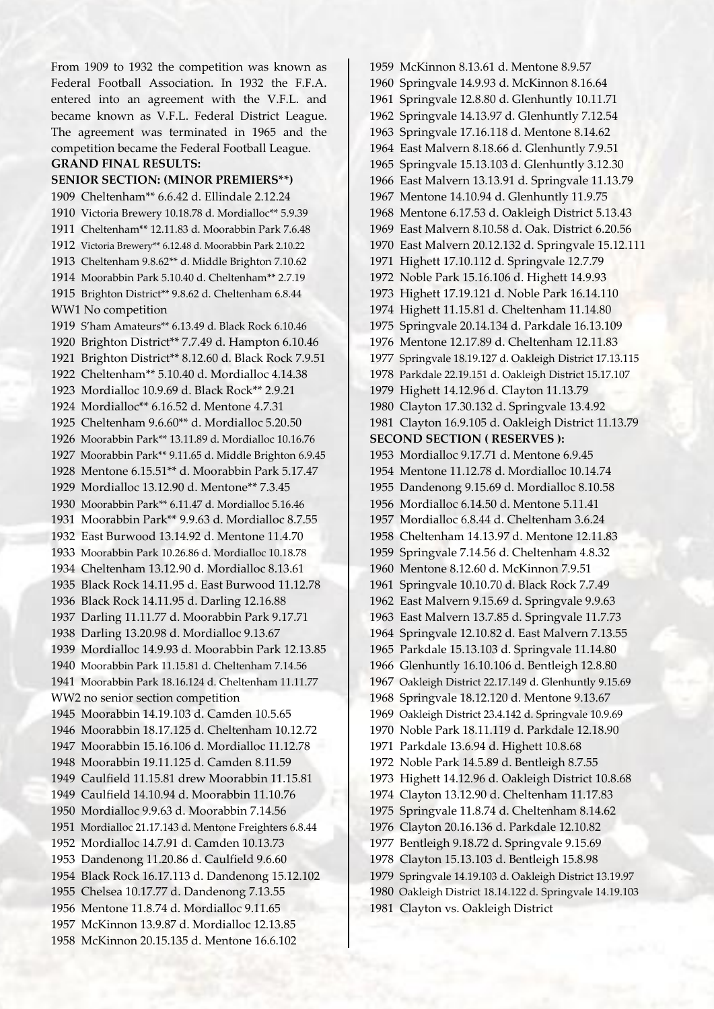From 1909 to 1932 the competition was known as Federal Football Association. In 1932 the F.F.A. entered into an agreement with the V.F.L. and became known as V.F.L. Federal District League. The agreement was terminated in 1965 and the competition became the Federal Football League.

## **GRAND FINAL RESULTS:**

**SENIOR SECTION: (MINOR PREMIERS\*\*)** 1909 Cheltenham\*\* 6.6.42 d. Ellindale 2.12.24 1910 Victoria Brewery 10.18.78 d. Mordialloc\*\* 5.9.39 1911 Cheltenham\*\* 12.11.83 d. Moorabbin Park 7.6.48 1912 Victoria Brewery\*\* 6.12.48 d. Moorabbin Park 2.10.22 1913 Cheltenham 9.8.62\*\* d. Middle Brighton 7.10.62 1914 Moorabbin Park 5.10.40 d. Cheltenham\*\* 2.7.19 1915 Brighton District\*\* 9.8.62 d. Cheltenham 6.8.44 WW1 No competition 1919 S'ham Amateurs\*\* 6.13.49 d. Black Rock 6.10.46 1920 Brighton District\*\* 7.7.49 d. Hampton 6.10.46 1921 Brighton District\*\* 8.12.60 d. Black Rock 7.9.51 1922 Cheltenham\*\* 5.10.40 d. Mordialloc 4.14.38 1923 Mordialloc 10.9.69 d. Black Rock\*\* 2.9.21 1924 Mordialloc\*\* 6.16.52 d. Mentone 4.7.31 1925 Cheltenham 9.6.60\*\* d. Mordialloc 5.20.50 1926 Moorabbin Park\*\* 13.11.89 d. Mordialloc 10.16.76 1927 Moorabbin Park\*\* 9.11.65 d. Middle Brighton 6.9.45 1928 Mentone 6.15.51\*\* d. Moorabbin Park 5.17.47 1929 Mordialloc 13.12.90 d. Mentone\*\* 7.3.45 1930 Moorabbin Park\*\* 6.11.47 d. Mordialloc 5.16.46 1931 Moorabbin Park\*\* 9.9.63 d. Mordialloc 8.7.55 1932 East Burwood 13.14.92 d. Mentone 11.4.70 1933 Moorabbin Park 10.26.86 d. Mordialloc 10.18.78 1934 Cheltenham 13.12.90 d. Mordialloc 8.13.61 1935 Black Rock 14.11.95 d. East Burwood 11.12.78 1936 Black Rock 14.11.95 d. Darling 12.16.88 1937 Darling 11.11.77 d. Moorabbin Park 9.17.71 1938 Darling 13.20.98 d. Mordialloc 9.13.67 1939 Mordialloc 14.9.93 d. Moorabbin Park 12.13.85 1940 Moorabbin Park 11.15.81 d. Cheltenham 7.14.56 1941 Moorabbin Park 18.16.124 d. Cheltenham 11.11.77 WW2 no senior section competition 1945 Moorabbin 14.19.103 d. Camden 10.5.65 1946 Moorabbin 18.17.125 d. Cheltenham 10.12.72 1947 Moorabbin 15.16.106 d. Mordialloc 11.12.78 1948 Moorabbin 19.11.125 d. Camden 8.11.59 1949 Caulfield 11.15.81 drew Moorabbin 11.15.81 1949 Caulfield 14.10.94 d. Moorabbin 11.10.76 1950 Mordialloc 9.9.63 d. Moorabbin 7.14.56 1951 Mordialloc 21.17.143 d. Mentone Freighters 6.8.44 1952 Mordialloc 14.7.91 d. Camden 10.13.73 1953 Dandenong 11.20.86 d. Caulfield 9.6.60 1954 Black Rock 16.17.113 d. Dandenong 15.12.102 1955 Chelsea 10.17.77 d. Dandenong 7.13.55 1956 Mentone 11.8.74 d. Mordialloc 9.11.65 1957 McKinnon 13.9.87 d. Mordialloc 12.13.85 1958 McKinnon 20.15.135 d. Mentone 16.6.102

1959 McKinnon 8.13.61 d. Mentone 8.9.57 1960 Springvale 14.9.93 d. McKinnon 8.16.64 1961 Springvale 12.8.80 d. Glenhuntly 10.11.71 1962 Springvale 14.13.97 d. Glenhuntly 7.12.54 1963 Springvale 17.16.118 d. Mentone 8.14.62 1964 East Malvern 8.18.66 d. Glenhuntly 7.9.51 1965 Springvale 15.13.103 d. Glenhuntly 3.12.30 1966 East Malvern 13.13.91 d. Springvale 11.13.79 1967 Mentone 14.10.94 d. Glenhuntly 11.9.75 1968 Mentone 6.17.53 d. Oakleigh District 5.13.43 1969 East Malvern 8.10.58 d. Oak. District 6.20.56 1970 East Malvern 20.12.132 d. Springvale 15.12.111 1971 Highett 17.10.112 d. Springvale 12.7.79 1972 Noble Park 15.16.106 d. Highett 14.9.93 1973 Highett 17.19.121 d. Noble Park 16.14.110 1974 Highett 11.15.81 d. Cheltenham 11.14.80 1975 Springvale 20.14.134 d. Parkdale 16.13.109 1976 Mentone 12.17.89 d. Cheltenham 12.11.83 1977 Springvale 18.19.127 d. Oakleigh District 17.13.115 1978 Parkdale 22.19.151 d. Oakleigh District 15.17.107 1979 Highett 14.12.96 d. Clayton 11.13.79 1980 Clayton 17.30.132 d. Springvale 13.4.92 1981 Clayton 16.9.105 d. Oakleigh District 11.13.79 **SECOND SECTION ( RESERVES ):**  1953 Mordialloc 9.17.71 d. Mentone 6.9.45 1954 Mentone 11.12.78 d. Mordialloc 10.14.74 1955 Dandenong 9.15.69 d. Mordialloc 8.10.58 1956 Mordialloc 6.14.50 d. Mentone 5.11.41 1957 Mordialloc 6.8.44 d. Cheltenham 3.6.24 1958 Cheltenham 14.13.97 d. Mentone 12.11.83 1959 Springvale 7.14.56 d. Cheltenham 4.8.32 1960 Mentone 8.12.60 d. McKinnon 7.9.51 1961 Springvale 10.10.70 d. Black Rock 7.7.49 1962 East Malvern 9.15.69 d. Springvale 9.9.63 1963 East Malvern 13.7.85 d. Springvale 11.7.73 1964 Springvale 12.10.82 d. East Malvern 7.13.55 1965 Parkdale 15.13.103 d. Springvale 11.14.80 1966 Glenhuntly 16.10.106 d. Bentleigh 12.8.80 1967 Oakleigh District 22.17.149 d. Glenhuntly 9.15.69 1968 Springvale 18.12.120 d. Mentone 9.13.67 1969 Oakleigh District 23.4.142 d. Springvale 10.9.69 1970 Noble Park 18.11.119 d. Parkdale 12.18.90 1971 Parkdale 13.6.94 d. Highett 10.8.68 1972 Noble Park 14.5.89 d. Bentleigh 8.7.55 1973 Highett 14.12.96 d. Oakleigh District 10.8.68 1974 Clayton 13.12.90 d. Cheltenham 11.17.83 1975 Springvale 11.8.74 d. Cheltenham 8.14.62 1976 Clayton 20.16.136 d. Parkdale 12.10.82 1977 Bentleigh 9.18.72 d. Springvale 9.15.69 1978 Clayton 15.13.103 d. Bentleigh 15.8.98 1979 Springvale 14.19.103 d. Oakleigh District 13.19.97 1980 Oakleigh District 18.14.122 d. Springvale 14.19.103 1981 Clayton vs. Oakleigh District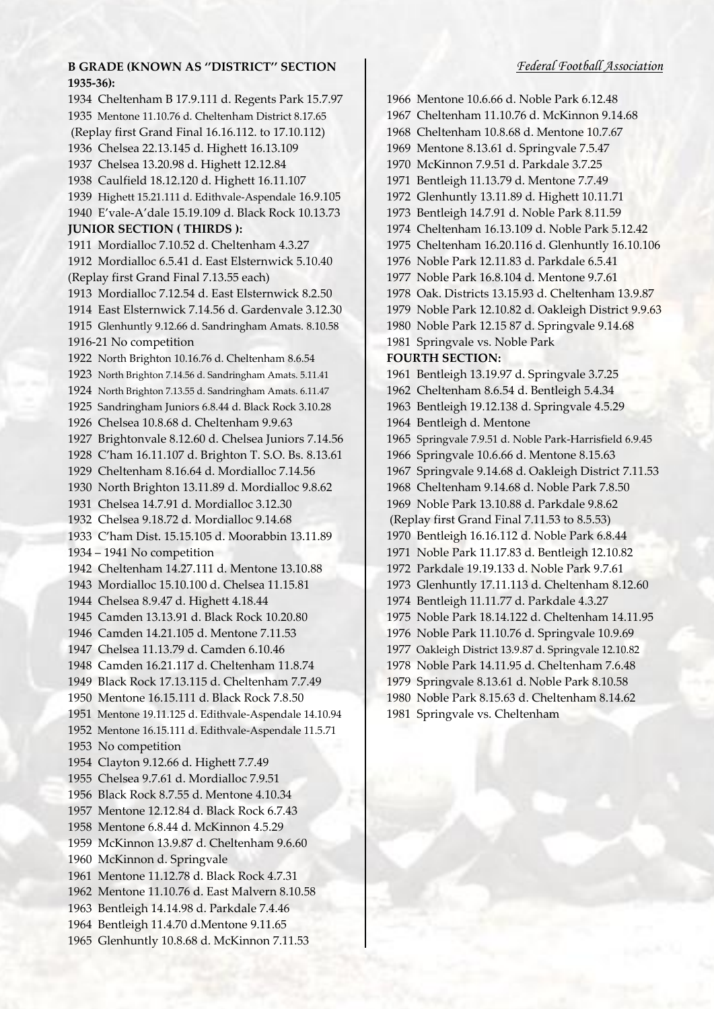## *Federal Football Association*

## **B GRADE (KNOWN AS ''DISTRICT'' SECTION 1935-36):**

1934 Cheltenham B 17.9.111 d. Regents Park 15.7.97 1935 Mentone 11.10.76 d. Cheltenham District 8.17.65 (Replay first Grand Final 16.16.112. to 17.10.112) 1936 Chelsea 22.13.145 d. Highett 16.13.109 1937 Chelsea 13.20.98 d. Highett 12.12.84 1938 Caulfield 18.12.120 d. Highett 16.11.107 1939 Highett 15.21.111 d. Edithvale-Aspendale 16.9.105 1940 E'vale-A'dale 15.19.109 d. Black Rock 10.13.73 **JUNIOR SECTION ( THIRDS ):** 1911 Mordialloc 7.10.52 d. Cheltenham 4.3.27 1912 Mordialloc 6.5.41 d. East Elsternwick 5.10.40 (Replay first Grand Final 7.13.55 each) 1913 Mordialloc 7.12.54 d. East Elsternwick 8.2.50 1914 East Elsternwick 7.14.56 d. Gardenvale 3.12.30 1915 Glenhuntly 9.12.66 d. Sandringham Amats. 8.10.58 1916-21 No competition 1922 North Brighton 10.16.76 d. Cheltenham 8.6.54 1923 North Brighton 7.14.56 d. Sandringham Amats. 5.11.41 1924 North Brighton 7.13.55 d. Sandringham Amats. 6.11.47 1925 Sandringham Juniors 6.8.44 d. Black Rock 3.10.28 1926 Chelsea 10.8.68 d. Cheltenham 9.9.63 1927 Brightonvale 8.12.60 d. Chelsea Juniors 7.14.56 1928 C'ham 16.11.107 d. Brighton T. S.O. Bs. 8.13.61 1929 Cheltenham 8.16.64 d. Mordialloc 7.14.56 1930 North Brighton 13.11.89 d. Mordialloc 9.8.62 1931 Chelsea 14.7.91 d. Mordialloc 3.12.30 1932 Chelsea 9.18.72 d. Mordialloc 9.14.68 1933 C'ham Dist. 15.15.105 d. Moorabbin 13.11.89 1934 – 1941 No competition 1942 Cheltenham 14.27.111 d. Mentone 13.10.88 1943 Mordialloc 15.10.100 d. Chelsea 11.15.81 1944 Chelsea 8.9.47 d. Highett 4.18.44 1945 Camden 13.13.91 d. Black Rock 10.20.80 1946 Camden 14.21.105 d. Mentone 7.11.53 1947 Chelsea 11.13.79 d. Camden 6.10.46 1948 Camden 16.21.117 d. Cheltenham 11.8.74 1949 Black Rock 17.13.115 d. Cheltenham 7.7.49 1950 Mentone 16.15.111 d. Black Rock 7.8.50 1951 Mentone 19.11.125 d. Edithvale-Aspendale 14.10.94 1952 Mentone 16.15.111 d. Edithvale-Aspendale 11.5.71 1953 No competition 1954 Clayton 9.12.66 d. Highett 7.7.49 1955 Chelsea 9.7.61 d. Mordialloc 7.9.51 1956 Black Rock 8.7.55 d. Mentone 4.10.34 1957 Mentone 12.12.84 d. Black Rock 6.7.43 1958 Mentone 6.8.44 d. McKinnon 4.5.29 1959 McKinnon 13.9.87 d. Cheltenham 9.6.60 1960 McKinnon d. Springvale 1961 Mentone 11.12.78 d. Black Rock 4.7.31 1962 Mentone 11.10.76 d. East Malvern 8.10.58 1963 Bentleigh 14.14.98 d. Parkdale 7.4.46 1964 Bentleigh 11.4.70 d.Mentone 9.11.65 1965 Glenhuntly 10.8.68 d. McKinnon 7.11.53

1966 Mentone 10.6.66 d. Noble Park 6.12.48 1967 Cheltenham 11.10.76 d. McKinnon 9.14.68 1968 Cheltenham 10.8.68 d. Mentone 10.7.67 1969 Mentone 8.13.61 d. Springvale 7.5.47 1970 McKinnon 7.9.51 d. Parkdale 3.7.25 1971 Bentleigh 11.13.79 d. Mentone 7.7.49 1972 Glenhuntly 13.11.89 d. Highett 10.11.71 1973 Bentleigh 14.7.91 d. Noble Park 8.11.59 1974 Cheltenham 16.13.109 d. Noble Park 5.12.42 1975 Cheltenham 16.20.116 d. Glenhuntly 16.10.106 1976 Noble Park 12.11.83 d. Parkdale 6.5.41 1977 Noble Park 16.8.104 d. Mentone 9.7.61 1978 Oak. Districts 13.15.93 d. Cheltenham 13.9.87 1979 Noble Park 12.10.82 d. Oakleigh District 9.9.63 1980 Noble Park 12.15 87 d. Springvale 9.14.68 1981 Springvale vs. Noble Park **FOURTH SECTION:** 1961 Bentleigh 13.19.97 d. Springvale 3.7.25 1962 Cheltenham 8.6.54 d. Bentleigh 5.4.34 1963 Bentleigh 19.12.138 d. Springvale 4.5.29 1964 Bentleigh d. Mentone 1965 Springvale 7.9.51 d. Noble Park-Harrisfield 6.9.45 1966 Springvale 10.6.66 d. Mentone 8.15.63 1967 Springvale 9.14.68 d. Oakleigh District 7.11.53 1968 Cheltenham 9.14.68 d. Noble Park 7.8.50 1969 Noble Park 13.10.88 d. Parkdale 9.8.62 (Replay first Grand Final 7.11.53 to 8.5.53) 1970 Bentleigh 16.16.112 d. Noble Park 6.8.44 1971 Noble Park 11.17.83 d. Bentleigh 12.10.82 1972 Parkdale 19.19.133 d. Noble Park 9.7.61 1973 Glenhuntly 17.11.113 d. Cheltenham 8.12.60 1974 Bentleigh 11.11.77 d. Parkdale 4.3.27 1975 Noble Park 18.14.122 d. Cheltenham 14.11.95 1976 Noble Park 11.10.76 d. Springvale 10.9.69 1977 Oakleigh District 13.9.87 d. Springvale 12.10.82 1978 Noble Park 14.11.95 d. Cheltenham 7.6.48 1979 Springvale 8.13.61 d. Noble Park 8.10.58 1980 Noble Park 8.15.63 d. Cheltenham 8.14.62 1981 Springvale vs. Cheltenham